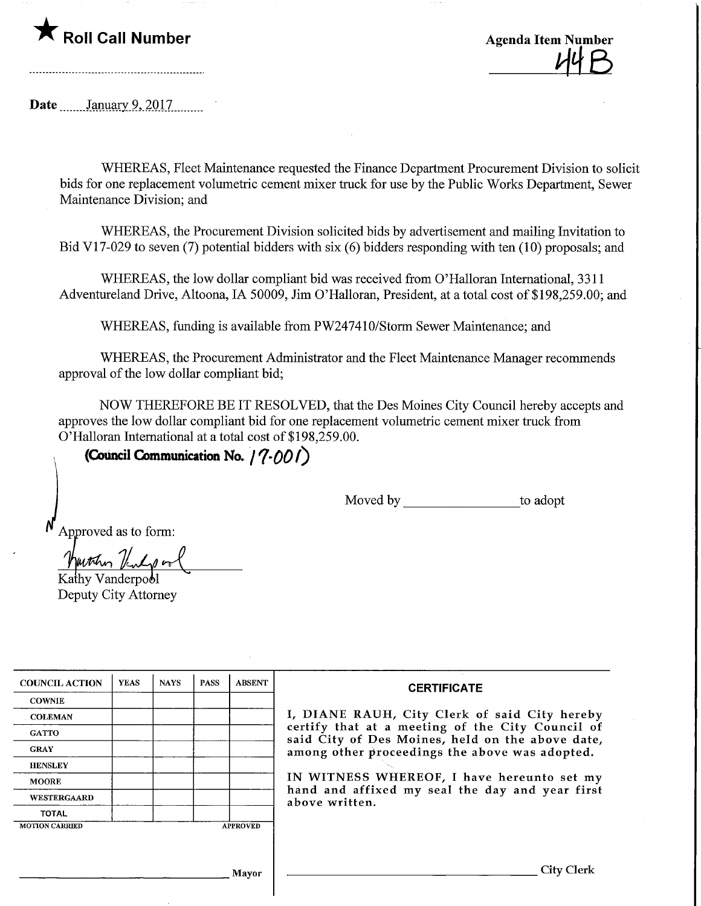## $\mathsf K$  Roll Call Number

**Agenda Item Number** 

Date  $\frac{\text{January } 9,2017}{\text{January } 10,2017}$ 

WHEREAS, Fleet Maintenance requested the Finance Department Procurement Division to solicit bids for one replacement volumetric cement mixer tmck for use by the Public Works Department, Sewer Maintenance Division; and

WHEREAS, the Procurement Division solicited bids by advertisement and mailing Invitation to Bid V17-029 to seven (7) potential bidders with six (6) bidders responding with ten (10) proposals; and

WHEREAS, the low dollar compliant bid was received from O'Halloran International, 3311 Adventureland Drive, Altoona, IA 50009, Jim O'Halloran, President, at a total cost of \$198,259.00; and

WHEREAS, funding is available from PW247410/Storm Sewer Maintenance; and

WHEREAS, the Procurement Administrator and the Fleet Maintenance Manager recommends approval of the low dollar compliant bid;

NOW THEREFORE BE IT RESOLVED, that the Des Moines City Council hereby accepts and approves the low dollar compliant bid for one replacement volumetric cement mixer truck from O'Halloran International at a total cost of \$198,259.00.

(Council Communication No.  $/$   $($ -00 $/$ )

Moved by to adopt

Approved as to form:

Kathy Vanderpool

Deputy City Attorney

| <b>COUNCIL ACTION</b> | <b>YEAS</b> | <b>NAYS</b> | <b>PASS</b> | <b>ABSENT</b>   |
|-----------------------|-------------|-------------|-------------|-----------------|
| <b>COWNIE</b>         |             |             |             |                 |
| COLEMAN               |             |             |             |                 |
| <b>GATTO</b>          |             |             |             |                 |
| <b>GRAY</b>           |             |             |             |                 |
| <b>HENSLEY</b>        |             |             |             |                 |
| <b>MOORE</b>          |             |             |             |                 |
| WESTERGAARD           |             |             |             |                 |
| <b>TOTAL</b>          |             |             |             |                 |
| <b>MOTION CARRIED</b> |             |             |             | <b>APPROVED</b> |

## **CERTIFICATE**

DIANE RAUH, City Clerk of said City hereby certify that at a meeting of the City Council of said City of Des Moines, held on the above date, ong other proceedings the above was adopted.

WITNESS WHEREOF, I have hereunto set my d and affixed my seal the day and year first ve written.

Mayor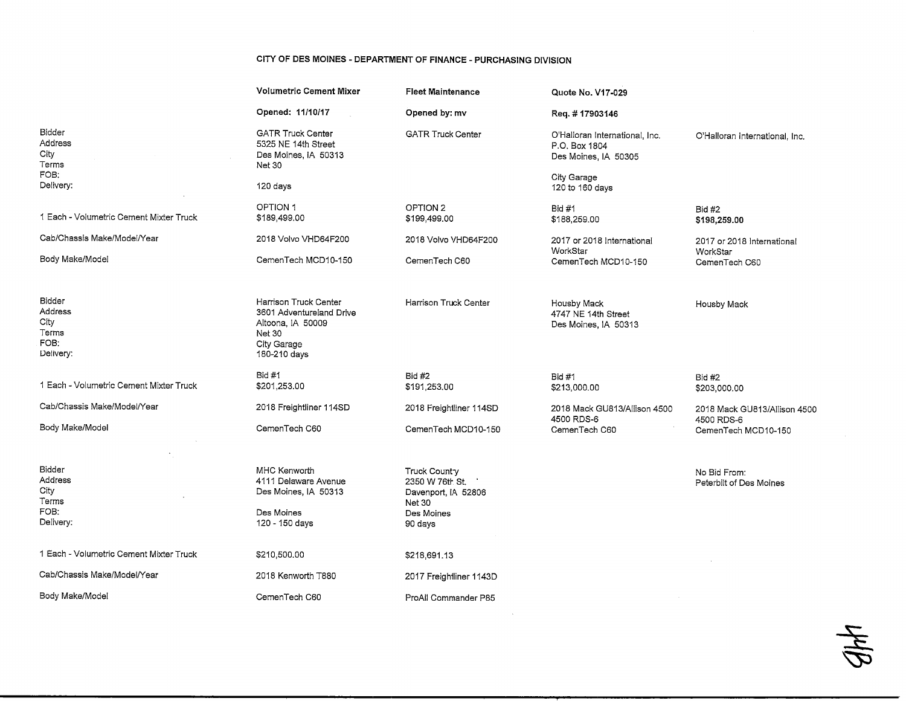## CITY OF DES MOINES - DEPARTMENT OF FINANCE - PURCHASING DIVISION

|                                                         | <b>Volumetric Cement Mixer</b>                                                                                  | <b>Fleet Maintenance</b>                                                                                 | Quote No. V17-029                                                       |                                                                   |
|---------------------------------------------------------|-----------------------------------------------------------------------------------------------------------------|----------------------------------------------------------------------------------------------------------|-------------------------------------------------------------------------|-------------------------------------------------------------------|
|                                                         | Opened: 11/10/17                                                                                                | Opened by: mv                                                                                            | Req. #17903146                                                          |                                                                   |
| Bidder<br>Address<br>City<br>Terms                      | <b>GATR Truck Center</b><br>5325 NE 14th Street<br>Des Moines, IA 50313<br><b>Net 30</b>                        | <b>GATR Truck Center</b>                                                                                 | O'Halloran International, Inc.<br>P.O. Box 1804<br>Des Moines, IA 50305 | O'Halloran international, Inc.                                    |
| FOB:<br>Delivery:                                       | 120 days                                                                                                        |                                                                                                          | City Garage<br>120 to 160 days                                          |                                                                   |
| 1 Each - Volumetric Cement Mixter Truck                 | OPTION 1<br>\$189,499.00                                                                                        | OPTION 2<br>\$199,499.00                                                                                 | <b>Bid #1</b><br>\$188,259.00                                           | <b>Bid #2</b><br>\$198,259.00                                     |
| Cab/Chassis Make/Model/Year                             | 2018 Volvo VHD64F200                                                                                            | 2018 Volvo VHD64F200                                                                                     | 2017 or 2018 International<br>WorkStar                                  | 2017 or 2018 International                                        |
| Body Make/Model                                         | CemenTech MCD10-150                                                                                             | CemenTech C60                                                                                            | CemenTech MCD10-150                                                     | WorkStar<br>CemenTech C60                                         |
| Bidder<br>Address<br>City<br>Terms<br>FOB:<br>Delivery: | Harrison Truck Center<br>3601 Adventureland Drive<br>Altoona, IA 50009<br>Net 30<br>City Garage<br>180-210 days | Harrison Truck Center                                                                                    | Housby Mack<br>4747 NE 14th Street<br>Des Moines, IA 50313              | Housby Mack                                                       |
| 1 Each - Volumetric Cement Mixter Truck                 | <b>Bid #1</b><br>\$201,253.00                                                                                   | <b>Bid #2</b><br>\$191,253.00                                                                            | Bid #1<br>\$213,000.00                                                  | Bid #2<br>\$203,000.00                                            |
| Cab/Chassis Make/Model/Year                             | 2018 Freightliner 114SD                                                                                         | 2018 Freightliner 114SD                                                                                  | 2018 Mack GU813/Allison 4500                                            | 2018 Mack GU813/Allison 4500<br>4500 RDS-6<br>CemenTech MCD10-150 |
| Body Make/Model                                         | CemenTech C60                                                                                                   | CemenTech MCD10-150                                                                                      | 4500 RDS-6<br>CemenTech C60                                             |                                                                   |
| Bidder<br>Address<br>City<br>Terms<br>FOB:<br>Delivery: | MHC Kenworth<br>4111 Delaware Avenue<br>Des Moines, IA 50313<br>Des Moines<br>120 - 150 days                    | <b>Truck Country</b><br>2350 W 76th St.<br>Davenport, IA 52806<br><b>Net 30</b><br>Des Moines<br>90 days |                                                                         | No Bid From:<br>Peterbilt of Des Moines                           |
| 1 Each - Volumetric Cement Mixter Truck                 | \$210,500,00                                                                                                    | \$218,691.13                                                                                             |                                                                         |                                                                   |
| Cab/Chassis Make/Model/Year                             | 2018 Kenworth T880                                                                                              | 2017 Freightliner 1143D                                                                                  |                                                                         |                                                                   |
| Body Make/Model                                         | CemenTech C60                                                                                                   | ProAll Commander P85                                                                                     |                                                                         |                                                                   |

 $48$